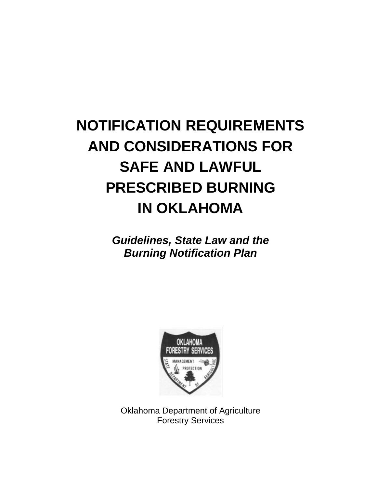# **NOTIFICATION REQUIREMENTS AND CONSIDERATIONS FOR SAFE AND LAWFUL PRESCRIBED BURNING IN OKLAHOMA**

*Guidelines, State Law and the Burning Notification Plan*



Oklahoma Department of Agriculture Forestry Services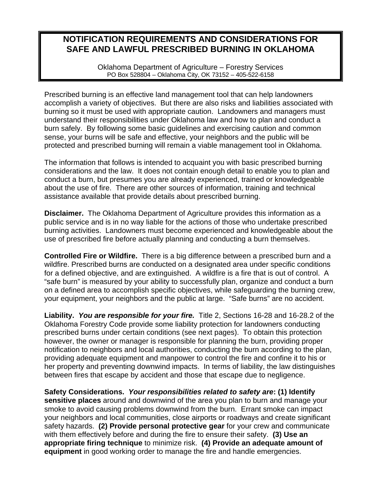## **NOTIFICATION REQUIREMENTS AND CONSIDERATIONS FOR SAFE AND LAWFUL PRESCRIBED BURNING IN OKLAHOMA**

Oklahoma Department of Agriculture – Forestry Services PO Box 528804 – Oklahoma City, OK 73152 – 405-522-6158

Prescribed burning is an effective land management tool that can help landowners accomplish a variety of objectives. But there are also risks and liabilities associated with burning so it must be used with appropriate caution. Landowners and managers must understand their responsibilities under Oklahoma law and how to plan and conduct a burn safely. By following some basic guidelines and exercising caution and common sense, your burns will be safe and effective, your neighbors and the public will be protected and prescribed burning will remain a viable management tool in Oklahoma.

The information that follows is intended to acquaint you with basic prescribed burning considerations and the law. It does not contain enough detail to enable you to plan and conduct a burn, but presumes you are already experienced, trained or knowledgeable about the use of fire. There are other sources of information, training and technical assistance available that provide details about prescribed burning.

**Disclaimer.** The Oklahoma Department of Agriculture provides this information as a public service and is in no way liable for the actions of those who undertake prescribed burning activities. Landowners must become experienced and knowledgeable about the use of prescribed fire before actually planning and conducting a burn themselves.

**Controlled Fire or Wildfire.** There is a big difference between a prescribed burn and a wildfire. Prescribed burns are conducted on a designated area under specific conditions for a defined objective, and are extinguished. A wildfire is a fire that is out of control. A "safe burn" is measured by your ability to successfully plan, organize and conduct a burn on a defined area to accomplish specific objectives, while safeguarding the burning crew, your equipment, your neighbors and the public at large. "Safe burns" are no accident.

**Liability.** *You are responsible for your fire.* Title 2, Sections 16-28 and 16-28.2 of the Oklahoma Forestry Code provide some liability protection for landowners conducting prescribed burns under certain conditions (see next pages). To obtain this protection however, the owner or manager is responsible for planning the burn, providing proper notification to neighbors and local authorities, conducting the burn according to the plan, providing adequate equipment and manpower to control the fire and confine it to his or her property and preventing downwind impacts. In terms of liability, the law distinguishes between fires that escape by accident and those that escape due to negligence.

**Safety Considerations.** *Your responsibilities related to safety are***: (1) Identify sensitive places** around and downwind of the area you plan to burn and manage your smoke to avoid causing problems downwind from the burn. Errant smoke can impact your neighbors and local communities, close airports or roadways and create significant safety hazards. **(2) Provide personal protective gear** for your crew and communicate with them effectively before and during the fire to ensure their safety. **(3) Use an appropriate firing technique** to minimize risk. **(4) Provide an adequate amount of equipment** in good working order to manage the fire and handle emergencies.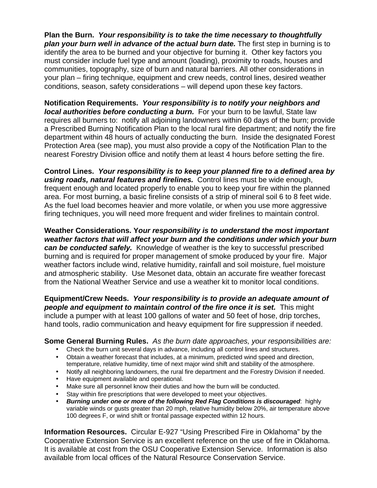**Plan the Burn.** *Your responsibility is to take the time necessary to thoughtfully*  **plan your burn well in advance of the actual burn date.** The first step in burning is to identify the area to be burned and your objective for burning it. Other key factors you must consider include fuel type and amount (loading), proximity to roads, houses and communities, topography, size of burn and natural barriers. All other considerations in your plan – firing technique, equipment and crew needs, control lines, desired weather conditions, season, safety considerations – will depend upon these key factors.

**Notification Requirements.** *Your responsibility is to notify your neighbors and local authorities before conducting a burn.* For your burn to be lawful, State law requires all burners to: notify all adjoining landowners within 60 days of the burn; provide a Prescribed Burning Notification Plan to the local rural fire department; and notify the fire department within 48 hours of actually conducting the burn. Inside the designated Forest Protection Area (see map), you must also provide a copy of the Notification Plan to the nearest Forestry Division office and notify them at least 4 hours before setting the fire.

**Control Lines.** *Your responsibility is to keep your planned fire to a defined area by using roads, natural features and firelines.* Control lines must be wide enough, frequent enough and located properly to enable you to keep your fire within the planned area. For most burning, a basic fireline consists of a strip of mineral soil 6 to 8 feet wide. As the fuel load becomes heavier and more volatile, or when you use more aggressive firing techniques, you will need more frequent and wider firelines to maintain control.

**Weather Considerations. Y***our responsibility is to understand the most important weather factors that will affect your burn and the conditions under which your burn can be conducted safely.* Knowledge of weather is the key to successful prescribed burning and is required for proper management of smoke produced by your fire. Major weather factors include wind, relative humidity, rainfall and soil moisture, fuel moisture and atmospheric stability. Use Mesonet data, obtain an accurate fire weather forecast from the National Weather Service and use a weather kit to monitor local conditions.

**Equipment/Crew Needs.** *Your responsibility is to provide an adequate amount of people and equipment to maintain control of the fire once it is set.* This might include a pumper with at least 100 gallons of water and 50 feet of hose, drip torches, hand tools, radio communication and heavy equipment for fire suppression if needed.

## **Some General Burning Rules.** *As the burn date approaches, your responsibilities are:*

- Check the burn unit several days in advance, including all control lines and structures.
- Obtain a weather forecast that includes, at a minimum, predicted wind speed and direction, temperature, relative humidity, time of next major wind shift and stability of the atmosphere.
- Notify all neighboring landowners, the rural fire department and the Forestry Division if needed.
- Have equipment available and operational.
- Make sure all personnel know their duties and how the burn will be conducted.
- Stay within fire prescriptions that were developed to meet your objectives.
- *Burning under one or more of the following Red Flag Conditions is discouraged*: highly variable winds or gusts greater than 20 mph, relative humidity below 20%, air temperature above 100 degrees F, or wind shift or frontal passage expected within 12 hours.

**Information Resources.** Circular E-927 "Using Prescribed Fire in Oklahoma" by the Cooperative Extension Service is an excellent reference on the use of fire in Oklahoma. It is available at cost from the OSU Cooperative Extension Service. Information is also available from local offices of the Natural Resource Conservation Service.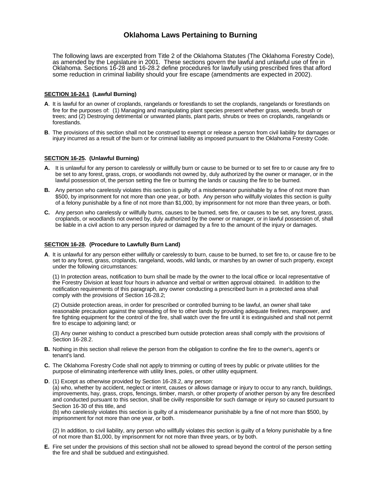### **Oklahoma Laws Pertaining to Burning**

The following laws are excerpted from Title 2 of the Oklahoma Statutes (The Oklahoma Forestry Code), as amended by the Legislature in 2001. These sections govern the lawful and unlawful use of fire in Oklahoma. Sections 16-28 and 16-28.2 define procedures for lawfully using prescribed fires that afford some reduction in criminal liability should your fire escape (amendments are expected in 2002).

#### **SECTION 16-24.1 (Lawful Burning)**

- **A**. It is lawful for an owner of croplands, rangelands or forestlands to set the croplands, rangelands or forestlands on fire for the purposes of: (1) Managing and manipulating plant species present whether grass, weeds, brush or trees; and (2) Destroying detrimental or unwanted plants, plant parts, shrubs or trees on croplands, rangelands or forestlands.
- **B**. The provisions of this section shall not be construed to exempt or release a person from civil liability for damages or injury incurred as a result of the burn or for criminal liability as imposed pursuant to the Oklahoma Forestry Code.

#### **SECTION 16-25. (Unlawful Burning)**

- **A.** It is unlawful for any person to carelessly or willfully burn or cause to be burned or to set fire to or cause any fire to be set to any forest, grass, crops, or woodlands not owned by, duly authorized by the owner or manager, or in the lawful possession of, the person setting the fire or burning the lands or causing the fire to be burned.
- **B.** Any person who carelessly violates this section is guilty of a misdemeanor punishable by a fine of not more than \$500, by imprisonment for not more than one year, or both. Any person who willfully violates this section is guilty of a felony punishable by a fine of not more than \$1,000, by imprisonment for not more than three years, or both.
- **C.** Any person who carelessly or willfully burns, causes to be burned, sets fire, or causes to be set, any forest, grass, croplands, or woodlands not owned by, duly authorized by the owner or manager, or in lawful possession of, shall be liable in a civil action to any person injured or damaged by a fire to the amount of the injury or damages.

#### **SECTION 16-28. (Procedure to Lawfully Burn Land)**

**A**. It is unlawful for any person either willfully or carelessly to burn, cause to be burned, to set fire to, or cause fire to be set to any forest, grass, croplands, rangeland, woods, wild lands, or marshes by an owner of such property, except under the following circumstances:

(1) In protection areas, notification to burn shall be made by the owner to the local office or local representative of the Forestry Division at least four hours in advance and verbal or written approval obtained. In addition to the notification requirements of this paragraph, any owner conducting a prescribed burn in a protected area shall comply with the provisions of Section 16-28.2;

(2) Outside protection areas, in order for prescribed or controlled burning to be lawful, an owner shall take reasonable precaution against the spreading of fire to other lands by providing adequate firelines, manpower, and fire fighting equipment for the control of the fire, shall watch over the fire until it is extinguished and shall not permit fire to escape to adjoining land; or

(3) Any owner wishing to conduct a prescribed burn outside protection areas shall comply with the provisions of Section 16-28.2.

- **B.** Nothing in this section shall relieve the person from the obligation to confine the fire to the owner's, agent's or tenant's land.
- **C.** The Oklahoma Forestry Code shall not apply to trimming or cutting of trees by public or private utilities for the purpose of eliminating interference with utility lines, poles, or other utility equipment.
- **D**. (1) Except as otherwise provided by Section 16-28.2, any person:

(a) who, whether by accident, neglect or intent, causes or allows damage or injury to occur to any ranch, buildings, improvements, hay, grass, crops, fencings, timber, marsh, or other property of another person by any fire described and conducted pursuant to this section, shall be civilly responsible for such damage or injury so caused pursuant to Section 16-30 of this title, and

(b) who carelessly violates this section is guilty of a misdemeanor punishable by a fine of not more than \$500, by imprisonment for not more than one year, or both.

(2) In addition, to civil liability, any person who willfully violates this section is guilty of a felony punishable by a fine of not more than \$1,000, by imprisonment for not more than three years, or by both.

**E.** Fire set under the provisions of this section shall not be allowed to spread beyond the control of the person setting the fire and shall be subdued and extinguished.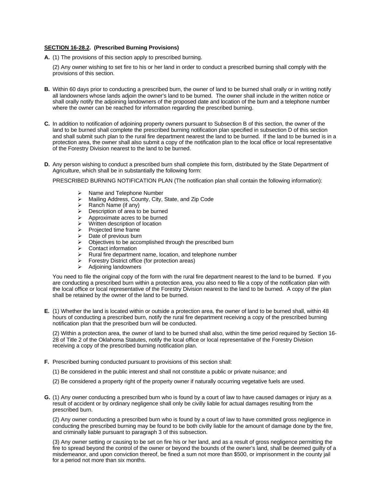#### **SECTION 16-28.2. (Prescribed Burning Provisions)**

**A.** (1) The provisions of this section apply to prescribed burning.

(2) Any owner wishing to set fire to his or her land in order to conduct a prescribed burning shall comply with the provisions of this section.

- **B.** Within 60 days prior to conducting a prescribed burn, the owner of land to be burned shall orally or in writing notify all landowners whose lands adjoin the owner's land to be burned. The owner shall include in the written notice or shall orally notify the adjoining landowners of the proposed date and location of the burn and a telephone number where the owner can be reached for information regarding the prescribed burning.
- **C.** In addition to notification of adjoining property owners pursuant to Subsection B of this section, the owner of the land to be burned shall complete the prescribed burning notification plan specified in subsection D of this section and shall submit such plan to the rural fire department nearest the land to be burned. If the land to be burned is in a protection area, the owner shall also submit a copy of the notification plan to the local office or local representative of the Forestry Division nearest to the land to be burned.
- **D.** Any person wishing to conduct a prescribed burn shall complete this form, distributed by the State Department of Agriculture, which shall be in substantially the following form:

PRESCRIBED BURNING NOTIFICATION PLAN (The notification plan shall contain the following information):

- $\triangleright$  Name and Telephone Number<br> $\triangleright$  Mailing Address, County, City,
- in Mailing Address, County, City, State, and Zip Code in Ranch Name (if any)
- ÿ Ranch Name (if any)
- $\geq$  Description of area to be burned<br> $\geq$  Approximate acres to be burned
- $\geq$  Approximate acres to be burned<br> $\geq$  Written description of location
- $\triangleright$  Written description of location<br> $\triangleright$  Projected time frame
- Projected time frame
- $\triangleright$  Date of previous burn
- $\triangleright$  Objectives to be accomplished through the prescribed burn
- $\geq$  Contact information<br> $\geq$  Rural fire department
- Example Theorem and the partment name, location, and telephone number<br>
Example Theorem District office (for protection areas)
- Forestry District office (for protection areas)
- $\triangleright$  Adjoining landowners

You need to file the original copy of the form with the rural fire department nearest to the land to be burned. If you are conducting a prescribed burn within a protection area, you also need to file a copy of the notification plan with the local office or local representative of the Forestry Division nearest to the land to be burned. A copy of the plan shall be retained by the owner of the land to be burned.

**E.** (1) Whether the land is located within or outside a protection area, the owner of land to be burned shall, within 48 hours of conducting a prescribed burn, notify the rural fire department receiving a copy of the prescribed burning notification plan that the prescribed burn will be conducted.

(2) Within a protection area, the owner of land to be burned shall also, within the time period required by Section 16- 28 of Title 2 of the Oklahoma Statutes, notify the local office or local representative of the Forestry Division receiving a copy of the prescribed burning notification plan.

- **F.** Prescribed burning conducted pursuant to provisions of this section shall:
	- (1) Be considered in the public interest and shall not constitute a public or private nuisance; and
	- (2) Be considered a property right of the property owner if naturally occurring vegetative fuels are used.
- **G.** (1) Any owner conducting a prescribed burn who is found by a court of law to have caused damages or injury as a result of accident or by ordinary negligence shall only be civilly liable for actual damages resulting from the prescribed burn.

(2) Any owner conducting a prescribed burn who is found by a court of law to have committed gross negligence in conducting the prescribed burning may be found to be both civilly liable for the amount of damage done by the fire, and criminally liable pursuant to paragraph 3 of this subsection.

(3) Any owner setting or causing to be set on fire his or her land, and as a result of gross negligence permitting the fire to spread beyond the control of the owner or beyond the bounds of the owner's land, shall be deemed guilty of a misdemeanor, and upon conviction thereof, be fined a sum not more than \$500, or imprisonment in the county jail for a period not more than six months.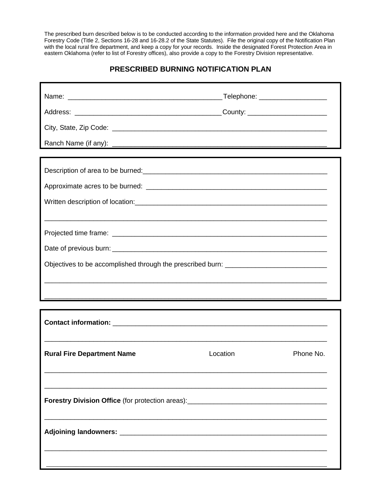The prescribed burn described below is to be conducted according to the information provided here and the Oklahoma Forestry Code (Title 2, Sections 16-28 and 16-28.2 of the State Statutes). File the original copy of the Notification Plan with the local rural fire department, and keep a copy for your records. Inside the designated Forest Protection Area in eastern Oklahoma (refer to list of Forestry offices), also provide a copy to the Forestry Division representative.

## **PRESCRIBED BURNING NOTIFICATION PLAN**

| Description of area to be burned:<br><u>Description</u> of area to be burned:<br><u> Lessent Communications</u> |          |           |
|-----------------------------------------------------------------------------------------------------------------|----------|-----------|
|                                                                                                                 |          |           |
|                                                                                                                 |          |           |
| ,我们就会在这里的时候,我们就会在这里的时候,我们就会在这里的时候,我们就会在这里的时候,我们就会在这里的时候,我们就会在这里的时候,我们就会在这里的时候,我们                                |          |           |
|                                                                                                                 |          |           |
|                                                                                                                 |          |           |
| Objectives to be accomplished through the prescribed burn: ______________________                               |          |           |
|                                                                                                                 |          |           |
|                                                                                                                 |          |           |
|                                                                                                                 |          |           |
|                                                                                                                 |          |           |
|                                                                                                                 |          |           |
| <b>Rural Fire Department Name</b>                                                                               | Location | Phone No. |
|                                                                                                                 |          |           |
|                                                                                                                 |          |           |
| Forestry Division Office (for protection areas): _______________________________                                |          |           |
|                                                                                                                 |          |           |
|                                                                                                                 |          |           |
|                                                                                                                 |          |           |
|                                                                                                                 |          |           |
|                                                                                                                 |          |           |